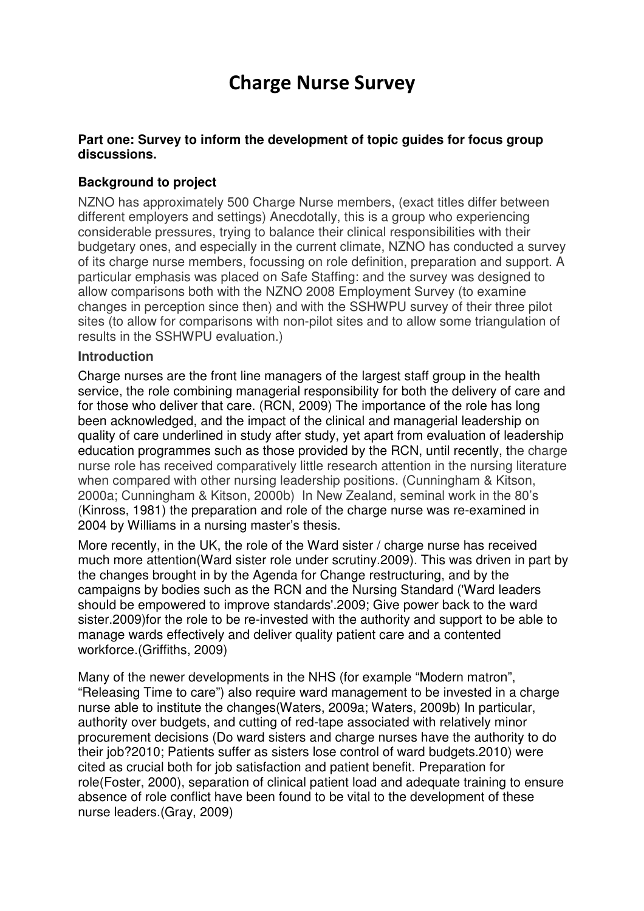# Charge Nurse Survey

# **Part one: Survey to inform the development of topic guides for focus group discussions.**

# **Background to project**

NZNO has approximately 500 Charge Nurse members, (exact titles differ between different employers and settings) Anecdotally, this is a group who experiencing considerable pressures, trying to balance their clinical responsibilities with their budgetary ones, and especially in the current climate, NZNO has conducted a survey of its charge nurse members, focussing on role definition, preparation and support. A particular emphasis was placed on Safe Staffing: and the survey was designed to allow comparisons both with the NZNO 2008 Employment Survey (to examine changes in perception since then) and with the SSHWPU survey of their three pilot sites (to allow for comparisons with non-pilot sites and to allow some triangulation of results in the SSHWPU evaluation.)

# **Introduction**

Charge nurses are the front line managers of the largest staff group in the health service, the role combining managerial responsibility for both the delivery of care and for those who deliver that care. (RCN, 2009) The importance of the role has long been acknowledged, and the impact of the clinical and managerial leadership on quality of care underlined in study after study, yet apart from evaluation of leadership education programmes such as those provided by the RCN, until recently, the charge nurse role has received comparatively little research attention in the nursing literature when compared with other nursing leadership positions. (Cunningham & Kitson, 2000a; Cunningham & Kitson, 2000b) In New Zealand, seminal work in the 80's (Kinross, 1981) the preparation and role of the charge nurse was re-examined in 2004 by Williams in a nursing master's thesis.

More recently, in the UK, the role of the Ward sister / charge nurse has received much more attention(Ward sister role under scrutiny.2009). This was driven in part by the changes brought in by the Agenda for Change restructuring, and by the campaigns by bodies such as the RCN and the Nursing Standard ('Ward leaders should be empowered to improve standards'.2009; Give power back to the ward sister.2009)for the role to be re-invested with the authority and support to be able to manage wards effectively and deliver quality patient care and a contented workforce.(Griffiths, 2009)

Many of the newer developments in the NHS (for example "Modern matron", "Releasing Time to care") also require ward management to be invested in a charge nurse able to institute the changes(Waters, 2009a; Waters, 2009b) In particular, authority over budgets, and cutting of red-tape associated with relatively minor procurement decisions (Do ward sisters and charge nurses have the authority to do their job?2010; Patients suffer as sisters lose control of ward budgets.2010) were cited as crucial both for job satisfaction and patient benefit. Preparation for role(Foster, 2000), separation of clinical patient load and adequate training to ensure absence of role conflict have been found to be vital to the development of these nurse leaders.(Gray, 2009)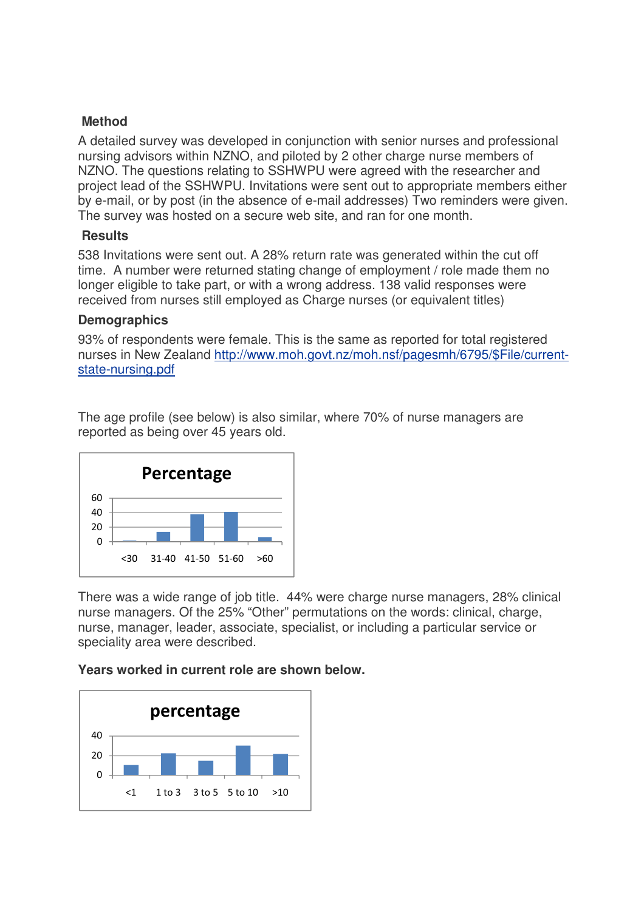# **Method**

A detailed survey was developed in conjunction with senior nurses and professional nursing advisors within NZNO, and piloted by 2 other charge nurse members of NZNO. The questions relating to SSHWPU were agreed with the researcher and project lead of the SSHWPU. Invitations were sent out to appropriate members either by e-mail, or by post (in the absence of e-mail addresses) Two reminders were given. The survey was hosted on a secure web site, and ran for one month.

# **Results**

538 Invitations were sent out. A 28% return rate was generated within the cut off time. A number were returned stating change of employment / role made them no longer eligible to take part, or with a wrong address. 138 valid responses were received from nurses still employed as Charge nurses (or equivalent titles)

# **Demographics**

93% of respondents were female. This is the same as reported for total registered nurses in New Zealand http://www.moh.govt.nz/moh.nsf/pagesmh/6795/\$File/currentstate-nursing.pdf

The age profile (see below) is also similar, where 70% of nurse managers are reported as being over 45 years old.



There was a wide range of job title. 44% were charge nurse managers, 28% clinical nurse managers. Of the 25% "Other" permutations on the words: clinical, charge, nurse, manager, leader, associate, specialist, or including a particular service or speciality area were described.

**Years worked in current role are shown below.** 

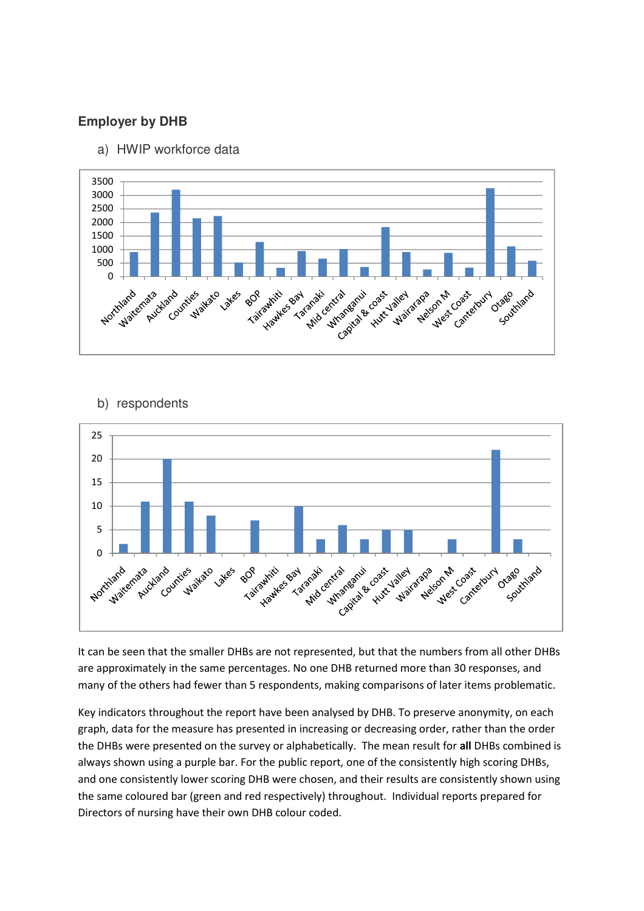# **Employer by DHB**

a) HWIP workforce data



# b) respondents



It can be seen that the smaller DHBs are not represented, but that the numbers from all other DHBs are approximately in the same percentages. No one DHB returned more than 30 responses, and many of the others had fewer than 5 respondents, making comparisons of later items problematic.

Key indicators throughout the report have been analysed by DHB. To preserve anonymity, on each graph, data for the measure has presented in increasing or decreasing order, rather than the order the DHBs were presented on the survey or alphabetically. The mean result for all DHBs combined is always shown using a purple bar. For the public report, one of the consistently high scoring DHBs, and one consistently lower scoring DHB were chosen, and their results are consistently shown using the same coloured bar (green and red respectively) throughout. Individual reports prepared for Directors of nursing have their own DHB colour coded.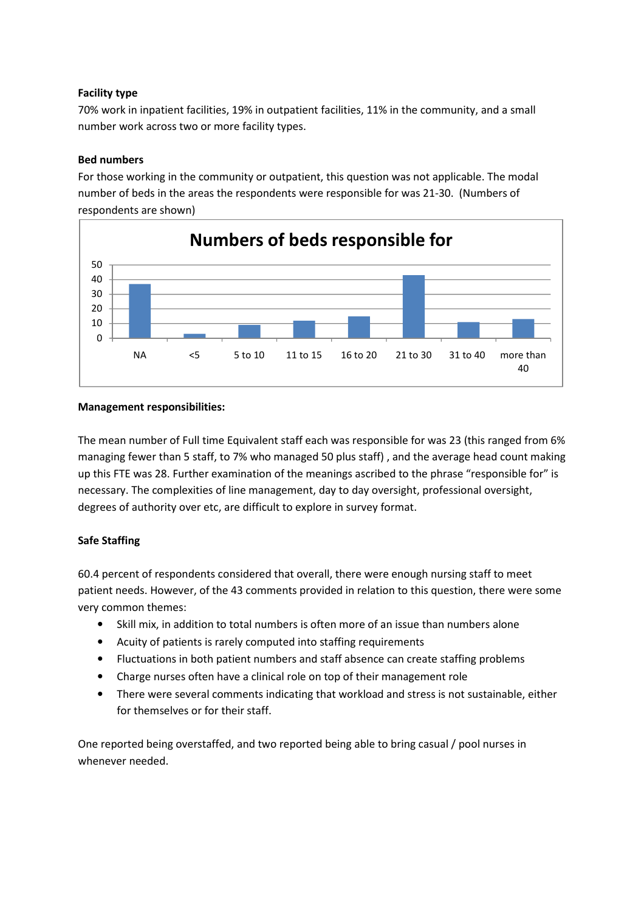# Facility type

70% work in inpatient facilities, 19% in outpatient facilities, 11% in the community, and a small number work across two or more facility types.

### Bed numbers

For those working in the community or outpatient, this question was not applicable. The modal number of beds in the areas the respondents were responsible for was 21-30. (Numbers of respondents are shown)



#### Management responsibilities:

The mean number of Full time Equivalent staff each was responsible for was 23 (this ranged from 6% managing fewer than 5 staff, to 7% who managed 50 plus staff) , and the average head count making up this FTE was 28. Further examination of the meanings ascribed to the phrase "responsible for" is necessary. The complexities of line management, day to day oversight, professional oversight, degrees of authority over etc, are difficult to explore in survey format.

# Safe Staffing

60.4 percent of respondents considered that overall, there were enough nursing staff to meet patient needs. However, of the 43 comments provided in relation to this question, there were some very common themes:

- Skill mix, in addition to total numbers is often more of an issue than numbers alone
- Acuity of patients is rarely computed into staffing requirements
- Fluctuations in both patient numbers and staff absence can create staffing problems
- Charge nurses often have a clinical role on top of their management role
- There were several comments indicating that workload and stress is not sustainable, either for themselves or for their staff.

One reported being overstaffed, and two reported being able to bring casual / pool nurses in whenever needed.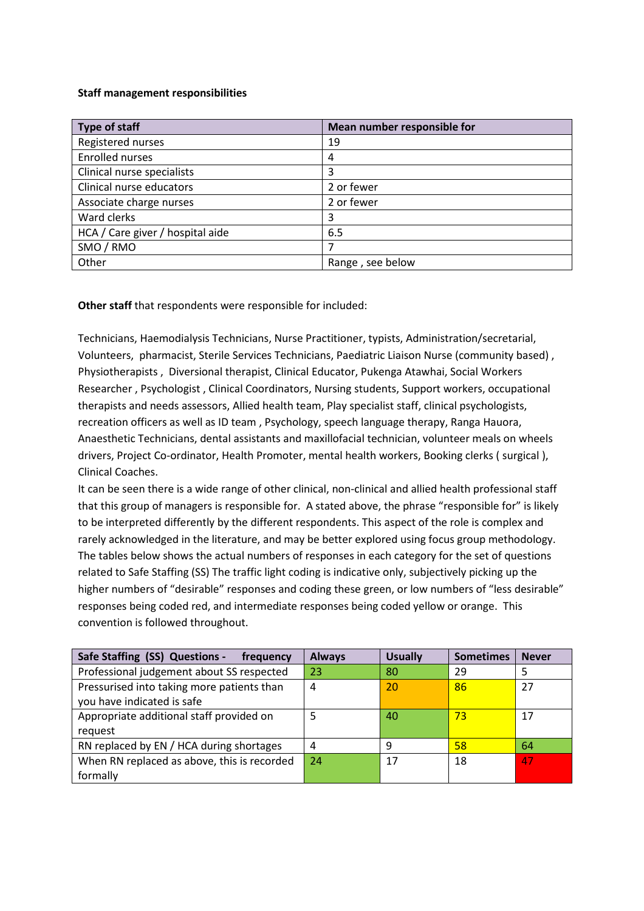#### Staff management responsibilities

| <b>Type of staff</b>             | Mean number responsible for |
|----------------------------------|-----------------------------|
| Registered nurses                | 19                          |
| <b>Enrolled nurses</b>           | 4                           |
| Clinical nurse specialists       | 3                           |
| Clinical nurse educators         | 2 or fewer                  |
| Associate charge nurses          | 2 or fewer                  |
| Ward clerks                      | 3                           |
| HCA / Care giver / hospital aide | 6.5                         |
| SMO / RMO                        |                             |
| Other                            | Range, see below            |

Other staff that respondents were responsible for included:

Technicians, Haemodialysis Technicians, Nurse Practitioner, typists, Administration/secretarial, Volunteers, pharmacist, Sterile Services Technicians, Paediatric Liaison Nurse (community based) , Physiotherapists , Diversional therapist, Clinical Educator, Pukenga Atawhai, Social Workers Researcher , Psychologist , Clinical Coordinators, Nursing students, Support workers, occupational therapists and needs assessors, Allied health team, Play specialist staff, clinical psychologists, recreation officers as well as ID team , Psychology, speech language therapy, Ranga Hauora, Anaesthetic Technicians, dental assistants and maxillofacial technician, volunteer meals on wheels drivers, Project Co-ordinator, Health Promoter, mental health workers, Booking clerks ( surgical ), Clinical Coaches.

It can be seen there is a wide range of other clinical, non-clinical and allied health professional staff that this group of managers is responsible for. A stated above, the phrase "responsible for" is likely to be interpreted differently by the different respondents. This aspect of the role is complex and rarely acknowledged in the literature, and may be better explored using focus group methodology. The tables below shows the actual numbers of responses in each category for the set of questions related to Safe Staffing (SS) The traffic light coding is indicative only, subjectively picking up the higher numbers of "desirable" responses and coding these green, or low numbers of "less desirable" responses being coded red, and intermediate responses being coded yellow or orange. This convention is followed throughout.

| Safe Staffing (SS) Questions -<br>frequency                              | <b>Always</b> | <b>Usually</b> | <b>Sometimes</b> | <b>Never</b> |
|--------------------------------------------------------------------------|---------------|----------------|------------------|--------------|
| Professional judgement about SS respected                                | 23            | 80             | 29               | 5            |
| Pressurised into taking more patients than<br>you have indicated is safe | 4             | 20             | 86               | 27           |
| Appropriate additional staff provided on<br>request                      | 5             | 40             | 73               | 17           |
| RN replaced by EN / HCA during shortages                                 | 4             | 9              | 58               | 64           |
| When RN replaced as above, this is recorded<br>formally                  | 24            | 17             | 18               | 47           |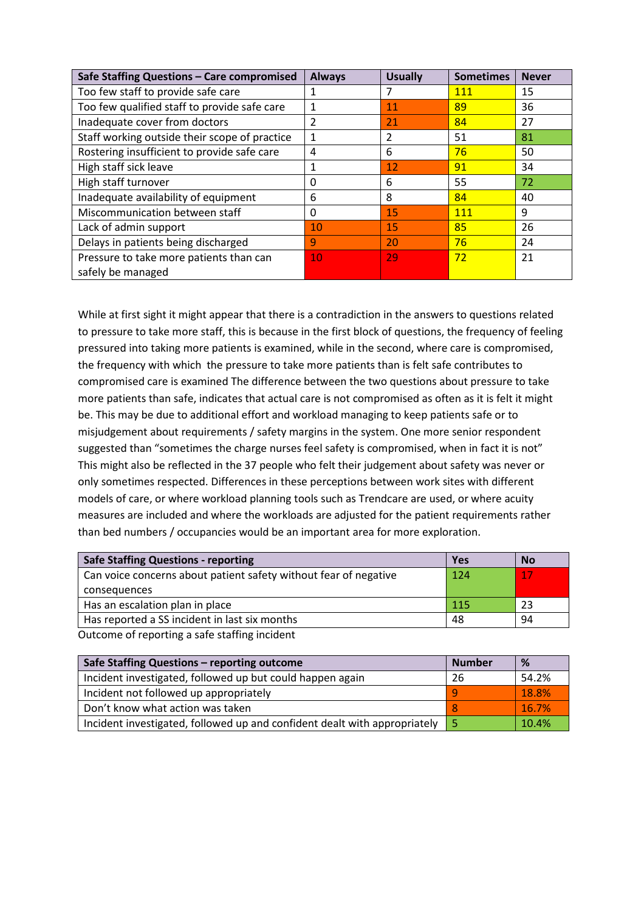| Safe Staffing Questions - Care compromised    | <b>Always</b> | <b>Usually</b> | <b>Sometimes</b> | <b>Never</b> |
|-----------------------------------------------|---------------|----------------|------------------|--------------|
| Too few staff to provide safe care            | 1             | 7              | 111              | 15           |
| Too few qualified staff to provide safe care  | 1             | 11             | 89               | 36           |
| Inadequate cover from doctors                 | 2             | 21             | 84               | 27           |
| Staff working outside their scope of practice | 1             | 2              | 51               | 81           |
| Rostering insufficient to provide safe care   | 4             | 6              | 76               | 50           |
| High staff sick leave                         | 1             | 12             | 91               | 34           |
| High staff turnover                           | 0             | 6              | 55               | 72           |
| Inadequate availability of equipment          | 6             | 8              | 84               | 40           |
| Miscommunication between staff                | 0             | 15             | <b>111</b>       | 9            |
| Lack of admin support                         | 10            | 15             | 85               | 26           |
| Delays in patients being discharged           | 9             | 20             | 76               | 24           |
| Pressure to take more patients than can       | 10            | 29             | 72               | 21           |
| safely be managed                             |               |                |                  |              |

While at first sight it might appear that there is a contradiction in the answers to questions related to pressure to take more staff, this is because in the first block of questions, the frequency of feeling pressured into taking more patients is examined, while in the second, where care is compromised, the frequency with which the pressure to take more patients than is felt safe contributes to compromised care is examined The difference between the two questions about pressure to take more patients than safe, indicates that actual care is not compromised as often as it is felt it might be. This may be due to additional effort and workload managing to keep patients safe or to misjudgement about requirements / safety margins in the system. One more senior respondent suggested than "sometimes the charge nurses feel safety is compromised, when in fact it is not" This might also be reflected in the 37 people who felt their judgement about safety was never or only sometimes respected. Differences in these perceptions between work sites with different models of care, or where workload planning tools such as Trendcare are used, or where acuity measures are included and where the workloads are adjusted for the patient requirements rather than bed numbers / occupancies would be an important area for more exploration.

| <b>Safe Staffing Questions - reporting</b>                       | Yes        | <b>No</b> |
|------------------------------------------------------------------|------------|-----------|
| Can voice concerns about patient safety without fear of negative | 124        | 17        |
| consequences                                                     |            |           |
| Has an escalation plan in place                                  | <b>115</b> | 23        |
| Has reported a SS incident in last six months                    | 48         | 94        |

Outcome of reporting a safe staffing incident

| Safe Staffing Questions - reporting outcome                               | <b>Number</b> | %     |
|---------------------------------------------------------------------------|---------------|-------|
| Incident investigated, followed up but could happen again                 | 26            | 54.2% |
| Incident not followed up appropriately                                    |               | 18.8% |
| Don't know what action was taken                                          |               | 16.7% |
| Incident investigated, followed up and confident dealt with appropriately |               | 10.4% |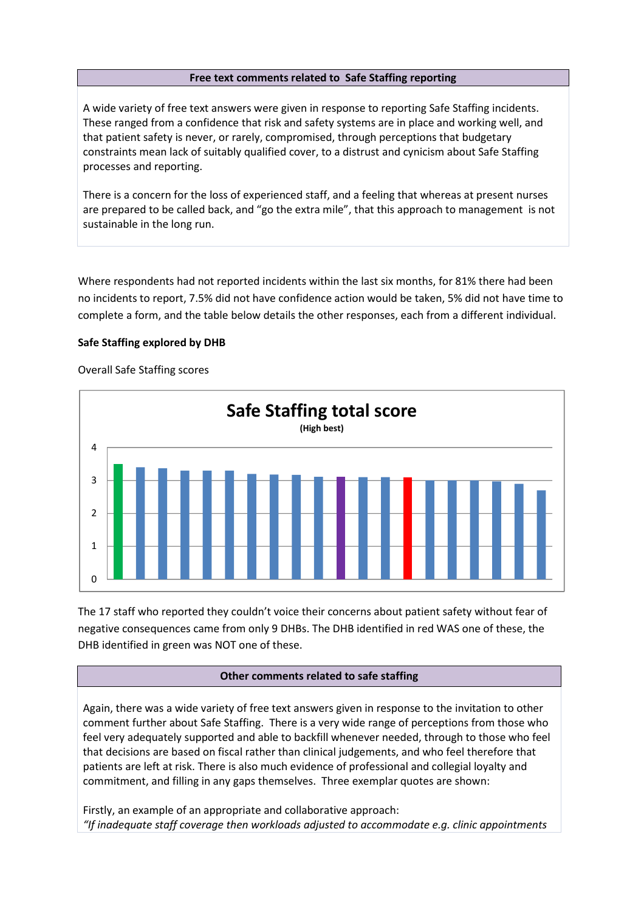#### Free text comments related to Safe Staffing reporting

A wide variety of free text answers were given in response to reporting Safe Staffing incidents. These ranged from a confidence that risk and safety systems are in place and working well, and that patient safety is never, or rarely, compromised, through perceptions that budgetary constraints mean lack of suitably qualified cover, to a distrust and cynicism about Safe Staffing processes and reporting.

There is a concern for the loss of experienced staff, and a feeling that whereas at present nurses are prepared to be called back, and "go the extra mile", that this approach to management is not sustainable in the long run.

Where respondents had not reported incidents within the last six months, for 81% there had been no incidents to report, 7.5% did not have confidence action would be taken, 5% did not have time to complete a form, and the table below details the other responses, each from a different individual.

#### Safe Staffing explored by DHB

Overall Safe Staffing scores



The 17 staff who reported they couldn't voice their concerns about patient safety without fear of negative consequences came from only 9 DHBs. The DHB identified in red WAS one of these, the DHB identified in green was NOT one of these.

#### Other comments related to safe staffing

Again, there was a wide variety of free text answers given in response to the invitation to other comment further about Safe Staffing. There is a very wide range of perceptions from those who feel very adequately supported and able to backfill whenever needed, through to those who feel that decisions are based on fiscal rather than clinical judgements, and who feel therefore that patients are left at risk. There is also much evidence of professional and collegial loyalty and commitment, and filling in any gaps themselves. Three exemplar quotes are shown:

Firstly, an example of an appropriate and collaborative approach: "If inadequate staff coverage then workloads adjusted to accommodate e.g. clinic appointments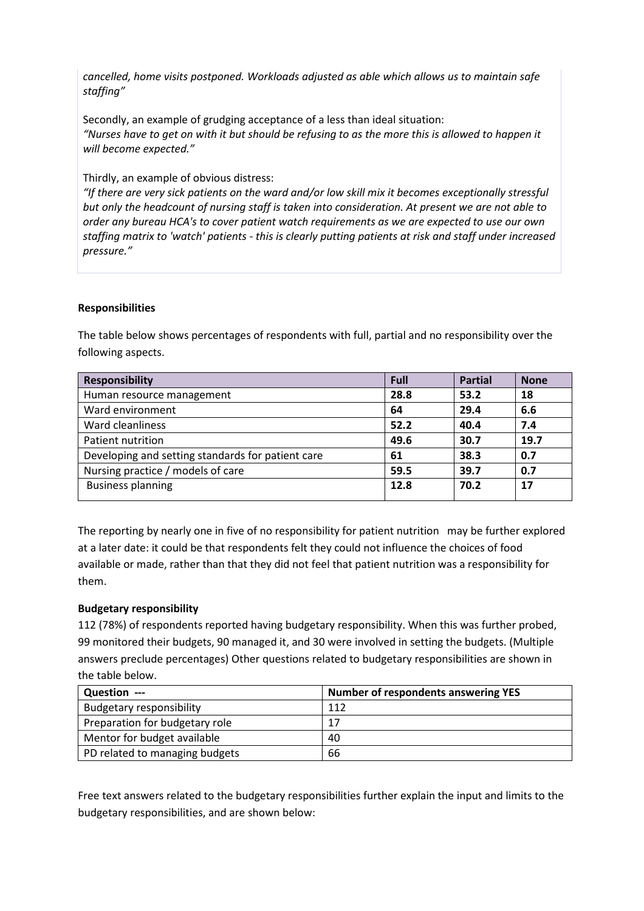cancelled, home visits postponed. Workloads adjusted as able which allows us to maintain safe staffing"

Secondly, an example of grudging acceptance of a less than ideal situation: "Nurses have to get on with it but should be refusing to as the more this is allowed to happen it will become expected."

Thirdly, an example of obvious distress:

"If there are very sick patients on the ward and/or low skill mix it becomes exceptionally stressful but only the headcount of nursing staff is taken into consideration. At present we are not able to order any bureau HCA's to cover patient watch requirements as we are expected to use our own staffing matrix to 'watch' patients - this is clearly putting patients at risk and staff under increased pressure."

### Responsibilities

The table below shows percentages of respondents with full, partial and no responsibility over the following aspects.

| <b>Responsibility</b>                             | Full | <b>Partial</b> | <b>None</b> |
|---------------------------------------------------|------|----------------|-------------|
| Human resource management                         | 28.8 | 53.2           | 18          |
| Ward environment                                  | 64   | 29.4           | 6.6         |
| Ward cleanliness                                  | 52.2 | 40.4           | 7.4         |
| Patient nutrition                                 | 49.6 | 30.7           | 19.7        |
| Developing and setting standards for patient care | 61   | 38.3           | 0.7         |
| Nursing practice / models of care                 | 59.5 | 39.7           | 0.7         |
| <b>Business planning</b>                          | 12.8 | 70.2           | 17          |

The reporting by nearly one in five of no responsibility for patient nutrition may be further explored at a later date: it could be that respondents felt they could not influence the choices of food available or made, rather than that they did not feel that patient nutrition was a responsibility for them.

# Budgetary responsibility

112 (78%) of respondents reported having budgetary responsibility. When this was further probed, 99 monitored their budgets, 90 managed it, and 30 were involved in setting the budgets. (Multiple answers preclude percentages) Other questions related to budgetary responsibilities are shown in the table below.

| Question ---                    | <b>Number of respondents answering YES</b> |
|---------------------------------|--------------------------------------------|
| <b>Budgetary responsibility</b> | 112                                        |
| Preparation for budgetary role  | 17                                         |
| Mentor for budget available     | 40                                         |
| PD related to managing budgets  | 66                                         |

Free text answers related to the budgetary responsibilities further explain the input and limits to the budgetary responsibilities, and are shown below: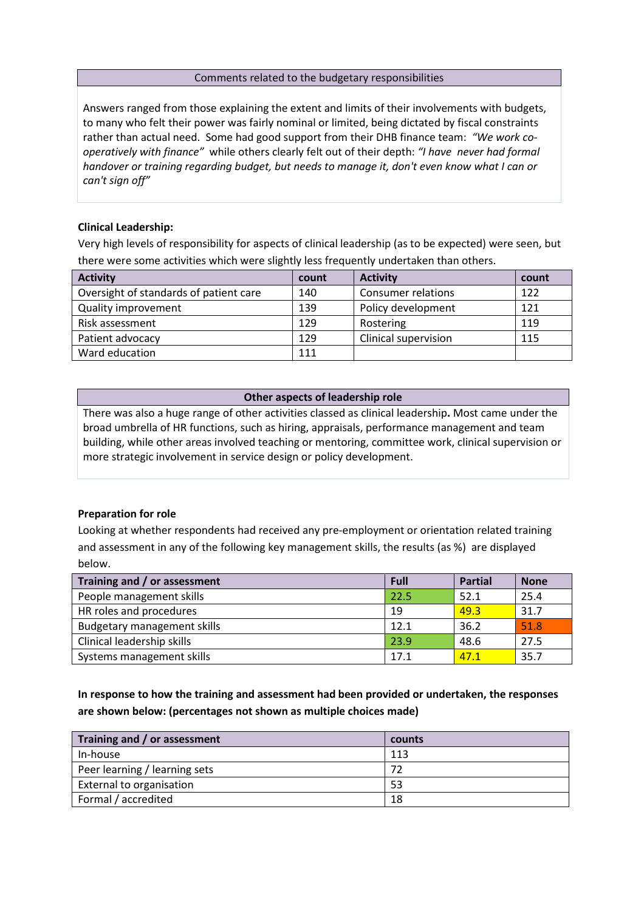#### Comments related to the budgetary responsibilities

Answers ranged from those explaining the extent and limits of their involvements with budgets, to many who felt their power was fairly nominal or limited, being dictated by fiscal constraints rather than actual need. Some had good support from their DHB finance team: "We work cooperatively with finance" while others clearly felt out of their depth: "I have never had formal handover or training regarding budget, but needs to manage it, don't even know what I can or can't sign off"

#### Clinical Leadership:

Very high levels of responsibility for aspects of clinical leadership (as to be expected) were seen, but there were some activities which were slightly less frequently undertaken than others.

| <b>Activity</b>                        | count | <b>Activity</b>           | count |
|----------------------------------------|-------|---------------------------|-------|
| Oversight of standards of patient care | 140   | <b>Consumer relations</b> | 122   |
| <b>Quality improvement</b>             | 139   | Policy development        | 121   |
| Risk assessment                        | 129   | Rostering                 | 119   |
| Patient advocacy                       | 129   | Clinical supervision      | 115   |
| Ward education                         | 111   |                           |       |

#### Other aspects of leadership role

There was also a huge range of other activities classed as clinical leadership. Most came under the broad umbrella of HR functions, such as hiring, appraisals, performance management and team building, while other areas involved teaching or mentoring, committee work, clinical supervision or more strategic involvement in service design or policy development.

#### Preparation for role

Looking at whether respondents had received any pre-employment or orientation related training and assessment in any of the following key management skills, the results (as %) are displayed below.

| Training and / or assessment       | Full | <b>Partial</b> | <b>None</b> |
|------------------------------------|------|----------------|-------------|
| People management skills           | 22.5 | 52.1           | 25.4        |
| HR roles and procedures            | 19   | 49.3           | 31.7        |
| <b>Budgetary management skills</b> | 12.1 | 36.2           | 51.8        |
| Clinical leadership skills         | 23.9 | 48.6           | 27.5        |
| Systems management skills          | 17.1 | 47.1           | 35.7        |

# In response to how the training and assessment had been provided or undertaken, the responses are shown below: (percentages not shown as multiple choices made)

| Training and / or assessment  | counts |
|-------------------------------|--------|
| In-house                      | 113    |
| Peer learning / learning sets | 72     |
| External to organisation      | 53     |
| Formal / accredited           | 18     |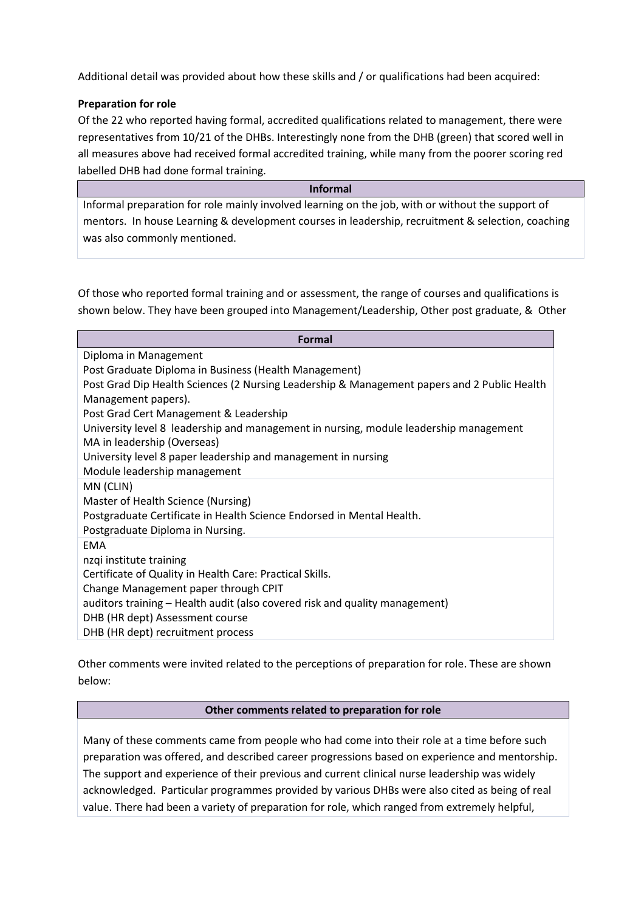Additional detail was provided about how these skills and / or qualifications had been acquired:

# Preparation for role

Of the 22 who reported having formal, accredited qualifications related to management, there were representatives from 10/21 of the DHBs. Interestingly none from the DHB (green) that scored well in all measures above had received formal accredited training, while many from the poorer scoring red labelled DHB had done formal training.

Informal Informal preparation for role mainly involved learning on the job, with or without the support of mentors. In house Learning & development courses in leadership, recruitment & selection, coaching was also commonly mentioned.

Of those who reported formal training and or assessment, the range of courses and qualifications is shown below. They have been grouped into Management/Leadership, Other post graduate, & Other

| Formal                                                                                      |
|---------------------------------------------------------------------------------------------|
| Diploma in Management                                                                       |
| Post Graduate Diploma in Business (Health Management)                                       |
| Post Grad Dip Health Sciences (2 Nursing Leadership & Management papers and 2 Public Health |
| Management papers).                                                                         |
| Post Grad Cert Management & Leadership                                                      |
| University level 8 leadership and management in nursing, module leadership management       |
| MA in leadership (Overseas)                                                                 |
| University level 8 paper leadership and management in nursing                               |
| Module leadership management                                                                |
| MN (CLIN)                                                                                   |
| Master of Health Science (Nursing)                                                          |
| Postgraduate Certificate in Health Science Endorsed in Mental Health.                       |
| Postgraduate Diploma in Nursing.                                                            |
| <b>EMA</b>                                                                                  |
| nzqi institute training                                                                     |
| Certificate of Quality in Health Care: Practical Skills.                                    |
| Change Management paper through CPIT                                                        |
| auditors training - Health audit (also covered risk and quality management)                 |
| DHB (HR dept) Assessment course                                                             |
| DHB (HR dept) recruitment process                                                           |

Other comments were invited related to the perceptions of preparation for role. These are shown below:

#### Other comments related to preparation for role

Many of these comments came from people who had come into their role at a time before such preparation was offered, and described career progressions based on experience and mentorship. The support and experience of their previous and current clinical nurse leadership was widely acknowledged. Particular programmes provided by various DHBs were also cited as being of real value. There had been a variety of preparation for role, which ranged from extremely helpful,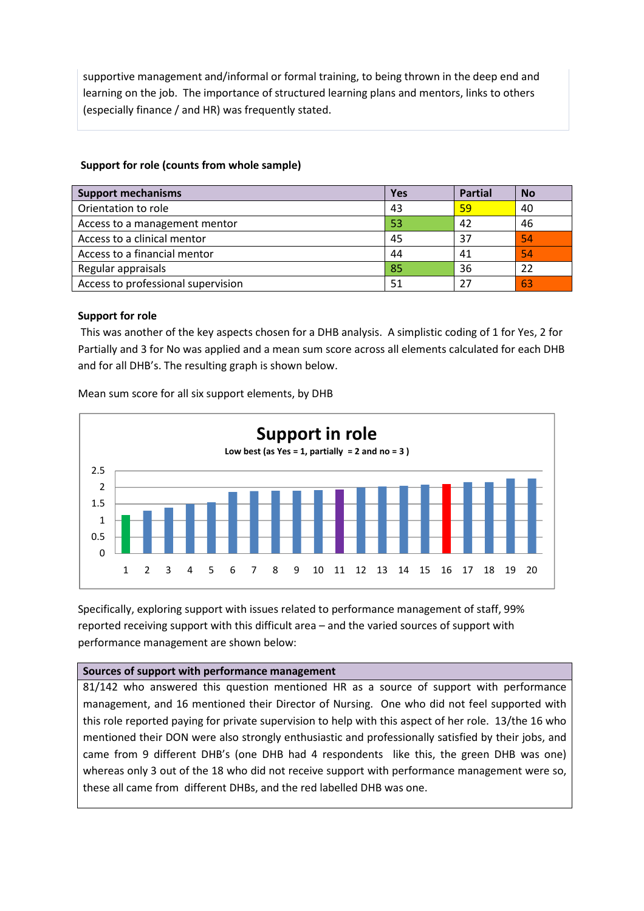supportive management and/informal or formal training, to being thrown in the deep end and learning on the job. The importance of structured learning plans and mentors, links to others (especially finance / and HR) was frequently stated.

### Support for role (counts from whole sample)

| <b>Support mechanisms</b>          | <b>Yes</b> | <b>Partial</b> | <b>No</b> |
|------------------------------------|------------|----------------|-----------|
| Orientation to role                | 43         | 59             | 40        |
| Access to a management mentor      | 53         | 42             | 46        |
| Access to a clinical mentor        | 45         | 37             | 54        |
| Access to a financial mentor       | 44         | 41             | 54        |
| Regular appraisals                 | 85         | 36             | 22        |
| Access to professional supervision | 51         | 27             | 63        |

### Support for role

This was another of the key aspects chosen for a DHB analysis. A simplistic coding of 1 for Yes, 2 for Partially and 3 for No was applied and a mean sum score across all elements calculated for each DHB and for all DHB's. The resulting graph is shown below.



Mean sum score for all six support elements, by DHB

Specifically, exploring support with issues related to performance management of staff, 99% reported receiving support with this difficult area – and the varied sources of support with performance management are shown below:

#### Sources of support with performance management

81/142 who answered this question mentioned HR as a source of support with performance management, and 16 mentioned their Director of Nursing. One who did not feel supported with this role reported paying for private supervision to help with this aspect of her role. 13/the 16 who mentioned their DON were also strongly enthusiastic and professionally satisfied by their jobs, and came from 9 different DHB's (one DHB had 4 respondents like this, the green DHB was one) whereas only 3 out of the 18 who did not receive support with performance management were so, these all came from different DHBs, and the red labelled DHB was one.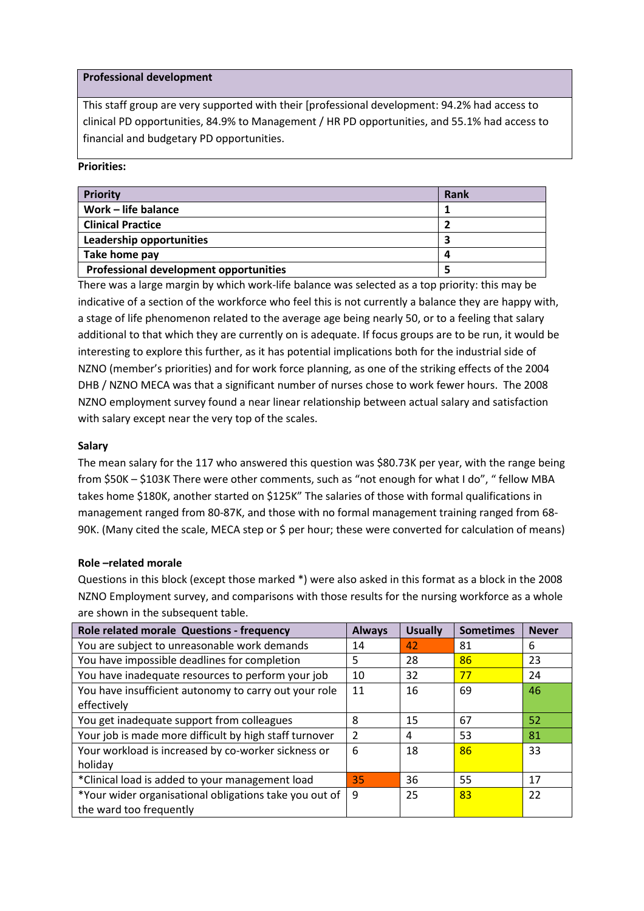#### Professional development

This staff group are very supported with their [professional development: 94.2% had access to clinical PD opportunities, 84.9% to Management / HR PD opportunities, and 55.1% had access to financial and budgetary PD opportunities.

#### Priorities:

| <b>Priority</b>                               | Rank |
|-----------------------------------------------|------|
| Work - life balance                           |      |
| <b>Clinical Practice</b>                      |      |
| Leadership opportunities                      |      |
| Take home pay                                 | 4    |
| <b>Professional development opportunities</b> |      |

There was a large margin by which work-life balance was selected as a top priority: this may be indicative of a section of the workforce who feel this is not currently a balance they are happy with, a stage of life phenomenon related to the average age being nearly 50, or to a feeling that salary additional to that which they are currently on is adequate. If focus groups are to be run, it would be interesting to explore this further, as it has potential implications both for the industrial side of NZNO (member's priorities) and for work force planning, as one of the striking effects of the 2004 DHB / NZNO MECA was that a significant number of nurses chose to work fewer hours. The 2008 NZNO employment survey found a near linear relationship between actual salary and satisfaction with salary except near the very top of the scales.

#### Salary

The mean salary for the 117 who answered this question was \$80.73K per year, with the range being from \$50K – \$103K There were other comments, such as "not enough for what I do", " fellow MBA takes home \$180K, another started on \$125K" The salaries of those with formal qualifications in management ranged from 80-87K, and those with no formal management training ranged from 68- 90K. (Many cited the scale, MECA step or \$ per hour; these were converted for calculation of means)

#### Role –related morale

Questions in this block (except those marked \*) were also asked in this format as a block in the 2008 NZNO Employment survey, and comparisons with those results for the nursing workforce as a whole are shown in the subsequent table.

| Role related morale Questions - frequency              | <b>Always</b>  | <b>Usually</b> | <b>Sometimes</b> | <b>Never</b> |
|--------------------------------------------------------|----------------|----------------|------------------|--------------|
| You are subject to unreasonable work demands           | 14             | 42             | 81               | 6            |
| You have impossible deadlines for completion           | 5              | 28             | 86               | 23           |
| You have inadequate resources to perform your job      | 10             | 32             | 77               | 24           |
| You have insufficient autonomy to carry out your role  | 11             | 16             | 69               | 46           |
| effectively                                            |                |                |                  |              |
| You get inadequate support from colleagues             | 8              | 15             | 67               | 52           |
| Your job is made more difficult by high staff turnover | $\overline{2}$ | 4              | 53               | 81           |
| Your workload is increased by co-worker sickness or    | 6              | 18             | 86               | 33           |
| holiday                                                |                |                |                  |              |
| *Clinical load is added to your management load        | 35             | 36             | 55               | 17           |
| *Your wider organisational obligations take you out of | 9              | 25             | 83               | 22           |
| the ward too frequently                                |                |                |                  |              |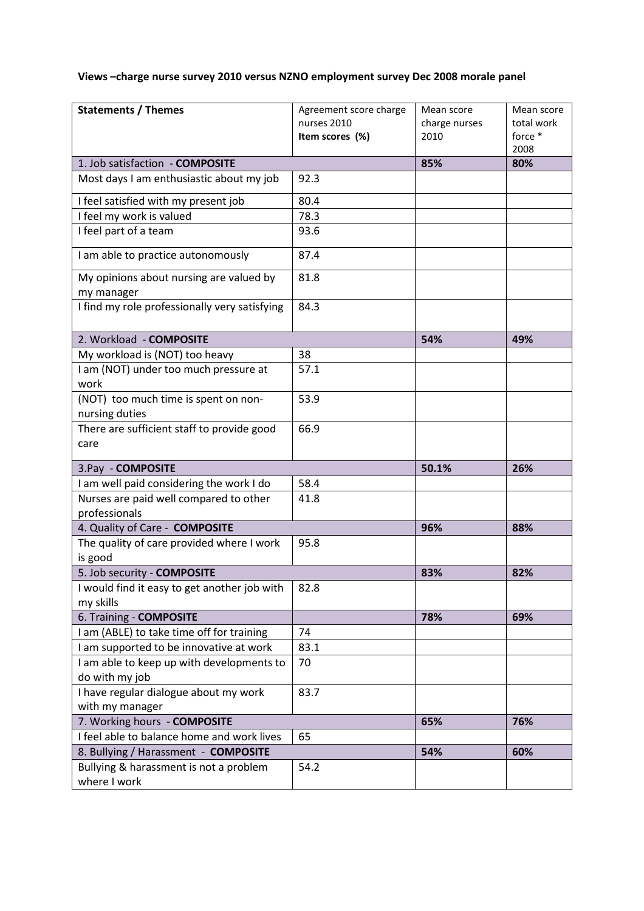# Views –charge nurse survey 2010 versus NZNO employment survey Dec 2008 morale panel

| <b>Statements / Themes</b>                                  | Agreement score charge<br>nurses 2010 | Mean score<br>charge nurses | Mean score<br>total work |
|-------------------------------------------------------------|---------------------------------------|-----------------------------|--------------------------|
|                                                             | Item scores (%)                       | 2010                        | force *<br>2008          |
| 1. Job satisfaction - COMPOSITE                             |                                       | 85%                         | 80%                      |
| Most days I am enthusiastic about my job                    | 92.3                                  |                             |                          |
| I feel satisfied with my present job                        | 80.4                                  |                             |                          |
| I feel my work is valued                                    | 78.3                                  |                             |                          |
| I feel part of a team                                       | 93.6                                  |                             |                          |
| I am able to practice autonomously                          | 87.4                                  |                             |                          |
| My opinions about nursing are valued by<br>my manager       | 81.8                                  |                             |                          |
| I find my role professionally very satisfying               | 84.3                                  |                             |                          |
| 2. Workload - COMPOSITE                                     |                                       | 54%                         | 49%                      |
| My workload is (NOT) too heavy                              | 38                                    |                             |                          |
| I am (NOT) under too much pressure at<br>work               | 57.1                                  |                             |                          |
| (NOT) too much time is spent on non-                        | 53.9                                  |                             |                          |
| nursing duties                                              |                                       |                             |                          |
| There are sufficient staff to provide good<br>care          | 66.9                                  |                             |                          |
| 3.Pay - COMPOSITE                                           |                                       | 50.1%                       | 26%                      |
| I am well paid considering the work I do                    | 58.4                                  |                             |                          |
| Nurses are paid well compared to other<br>professionals     | 41.8                                  |                             |                          |
| 4. Quality of Care - COMPOSITE                              |                                       | 96%                         | 88%                      |
| The quality of care provided where I work<br>is good        | 95.8                                  |                             |                          |
| 5. Job security - COMPOSITE                                 |                                       | 83%                         | 82%                      |
| I would find it easy to get another job with<br>my skills   | 82.8                                  |                             |                          |
| 6. Training - COMPOSITE                                     |                                       | 78%                         | 69%                      |
| I am (ABLE) to take time off for training                   | 74                                    |                             |                          |
| I am supported to be innovative at work                     | 83.1                                  |                             |                          |
| I am able to keep up with developments to<br>do with my job | 70                                    |                             |                          |
| I have regular dialogue about my work<br>with my manager    | 83.7                                  |                             |                          |
| 7. Working hours - COMPOSITE                                |                                       | 65%                         | 76%                      |
| I feel able to balance home and work lives                  | 65                                    |                             |                          |
| 8. Bullying / Harassment - COMPOSITE                        |                                       | 54%                         | 60%                      |
| Bullying & harassment is not a problem<br>where I work      | 54.2                                  |                             |                          |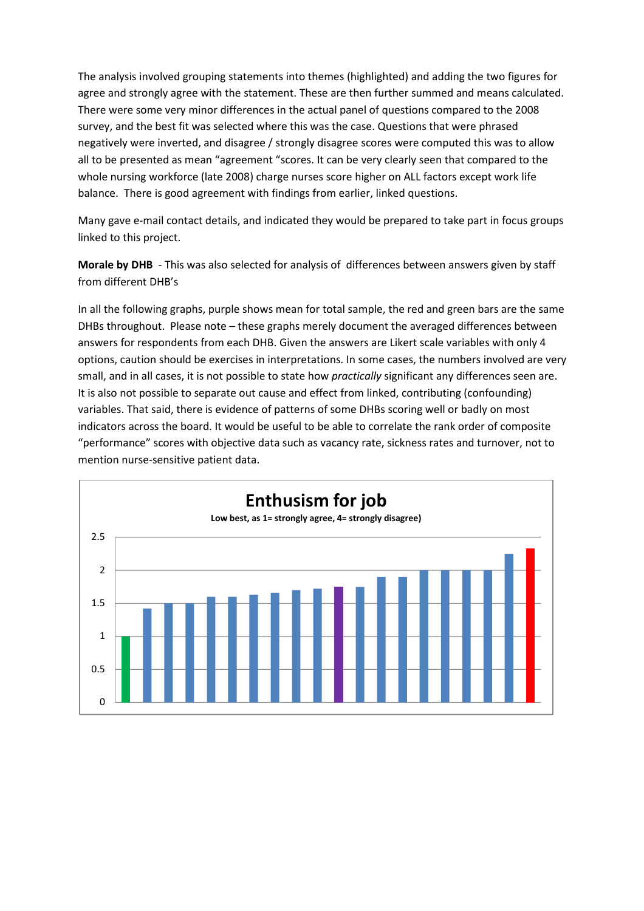The analysis involved grouping statements into themes (highlighted) and adding the two figures for agree and strongly agree with the statement. These are then further summed and means calculated. There were some very minor differences in the actual panel of questions compared to the 2008 survey, and the best fit was selected where this was the case. Questions that were phrased negatively were inverted, and disagree / strongly disagree scores were computed this was to allow all to be presented as mean "agreement "scores. It can be very clearly seen that compared to the whole nursing workforce (late 2008) charge nurses score higher on ALL factors except work life balance. There is good agreement with findings from earlier, linked questions.

Many gave e-mail contact details, and indicated they would be prepared to take part in focus groups linked to this project.

Morale by DHB - This was also selected for analysis of differences between answers given by staff from different DHB's

In all the following graphs, purple shows mean for total sample, the red and green bars are the same DHBs throughout. Please note – these graphs merely document the averaged differences between answers for respondents from each DHB. Given the answers are Likert scale variables with only 4 options, caution should be exercises in interpretations. In some cases, the numbers involved are very small, and in all cases, it is not possible to state how *practically* significant any differences seen are. It is also not possible to separate out cause and effect from linked, contributing (confounding) variables. That said, there is evidence of patterns of some DHBs scoring well or badly on most indicators across the board. It would be useful to be able to correlate the rank order of composite "performance" scores with objective data such as vacancy rate, sickness rates and turnover, not to mention nurse-sensitive patient data.

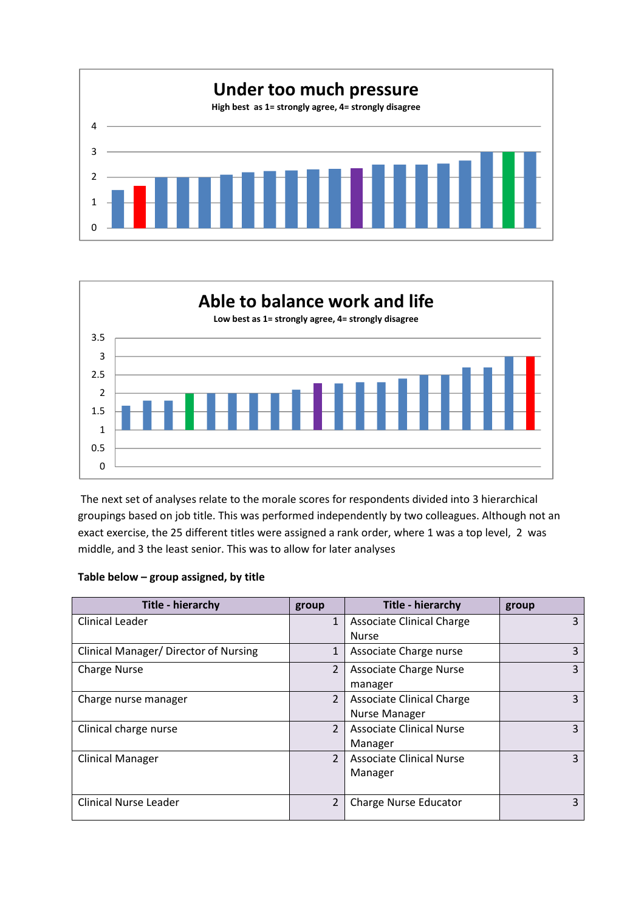



The next set of analyses relate to the morale scores for respondents divided into 3 hierarchical groupings based on job title. This was performed independently by two colleagues. Although not an exact exercise, the 25 different titles were assigned a rank order, where 1 was a top level, 2 was middle, and 3 the least senior. This was to allow for later analyses

| Table below - group assigned, by title |  |
|----------------------------------------|--|
|----------------------------------------|--|

| <b>Title - hierarchy</b>                     | group          | Title - hierarchy                | group |
|----------------------------------------------|----------------|----------------------------------|-------|
| <b>Clinical Leader</b>                       | $\mathbf{1}$   | <b>Associate Clinical Charge</b> | 3     |
|                                              |                | <b>Nurse</b>                     |       |
| <b>Clinical Manager/ Director of Nursing</b> | $\mathbf{1}$   | Associate Charge nurse           | 3     |
| <b>Charge Nurse</b>                          | $\overline{2}$ | <b>Associate Charge Nurse</b>    | 3     |
|                                              |                | manager                          |       |
| Charge nurse manager                         | $\overline{2}$ | <b>Associate Clinical Charge</b> | 3     |
|                                              |                | <b>Nurse Manager</b>             |       |
| Clinical charge nurse                        | $\overline{2}$ | <b>Associate Clinical Nurse</b>  | 3     |
|                                              |                | Manager                          |       |
| <b>Clinical Manager</b>                      | $\overline{2}$ | <b>Associate Clinical Nurse</b>  | 3     |
|                                              |                | Manager                          |       |
|                                              |                |                                  |       |
| <b>Clinical Nurse Leader</b>                 | $\overline{2}$ | <b>Charge Nurse Educator</b>     | 3     |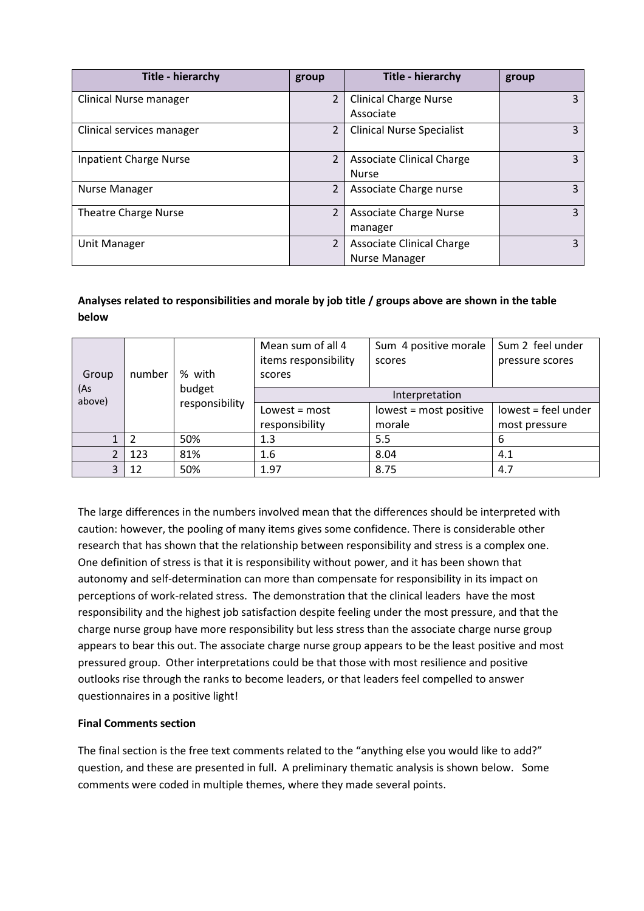| <b>Title - hierarchy</b>      | group          | Title - hierarchy                                 | group |
|-------------------------------|----------------|---------------------------------------------------|-------|
| <b>Clinical Nurse manager</b> | $\overline{2}$ | <b>Clinical Charge Nurse</b><br>Associate         | 3     |
| Clinical services manager     | $\overline{2}$ | <b>Clinical Nurse Specialist</b>                  | 3     |
| <b>Inpatient Charge Nurse</b> | $\overline{2}$ | <b>Associate Clinical Charge</b><br><b>Nurse</b>  | 3     |
| Nurse Manager                 | $\overline{2}$ | Associate Charge nurse                            | 3     |
| <b>Theatre Charge Nurse</b>   | $\overline{2}$ | <b>Associate Charge Nurse</b><br>manager          | 3     |
| Unit Manager                  | $\overline{2}$ | <b>Associate Clinical Charge</b><br>Nurse Manager | 3     |

# Analyses related to responsibilities and morale by job title / groups above are shown in the table below

|               |        |                | Mean sum of all 4    | Sum 4 positive morale  | Sum 2 feel under    |
|---------------|--------|----------------|----------------------|------------------------|---------------------|
|               |        |                | items responsibility | scores                 | pressure scores     |
| Group         | number | % with         | scores               |                        |                     |
| (As<br>above) |        | budget         |                      | Interpretation         |                     |
|               |        | responsibility | Lowest = $most$      | lowest = most positive | lowest = feel under |
|               |        |                | responsibility       | morale                 | most pressure       |
|               | 2      | 50%            | 1.3                  | 5.5                    | -6                  |
| າ             | 123    | 81%            | 1.6                  | 8.04                   | 4.1                 |
| 3             | 12     | 50%            | 1.97                 | 8.75                   | 4.7                 |

The large differences in the numbers involved mean that the differences should be interpreted with caution: however, the pooling of many items gives some confidence. There is considerable other research that has shown that the relationship between responsibility and stress is a complex one. One definition of stress is that it is responsibility without power, and it has been shown that autonomy and self-determination can more than compensate for responsibility in its impact on perceptions of work-related stress. The demonstration that the clinical leaders have the most responsibility and the highest job satisfaction despite feeling under the most pressure, and that the charge nurse group have more responsibility but less stress than the associate charge nurse group appears to bear this out. The associate charge nurse group appears to be the least positive and most pressured group. Other interpretations could be that those with most resilience and positive outlooks rise through the ranks to become leaders, or that leaders feel compelled to answer questionnaires in a positive light!

# Final Comments section

The final section is the free text comments related to the "anything else you would like to add?" question, and these are presented in full. A preliminary thematic analysis is shown below. Some comments were coded in multiple themes, where they made several points.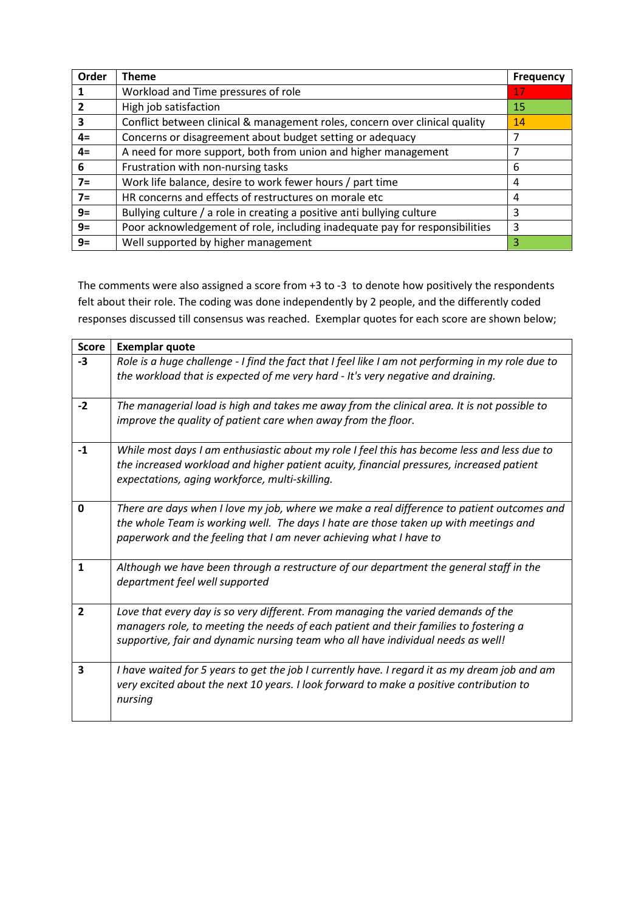| Order | <b>Theme</b>                                                                | <b>Frequency</b> |
|-------|-----------------------------------------------------------------------------|------------------|
|       | Workload and Time pressures of role                                         | 17               |
|       | High job satisfaction                                                       | 15               |
| 3     | Conflict between clinical & management roles, concern over clinical quality | 14               |
| $4=$  | Concerns or disagreement about budget setting or adequacy                   | 7                |
| $4=$  | A need for more support, both from union and higher management              | 7                |
| 6     | Frustration with non-nursing tasks                                          | 6                |
| $7=$  | Work life balance, desire to work fewer hours / part time                   | 4                |
| $7=$  | HR concerns and effects of restructures on morale etc                       | 4                |
| $9=$  | Bullying culture / a role in creating a positive anti bullying culture      | 3                |
| $9=$  | Poor acknowledgement of role, including inadequate pay for responsibilities | 3                |
| $9=$  | Well supported by higher management                                         | 3                |

The comments were also assigned a score from +3 to -3 to denote how positively the respondents felt about their role. The coding was done independently by 2 people, and the differently coded responses discussed till consensus was reached. Exemplar quotes for each score are shown below;

| <b>Score</b>   | <b>Exemplar quote</b>                                                                                                                                                                                                                                          |
|----------------|----------------------------------------------------------------------------------------------------------------------------------------------------------------------------------------------------------------------------------------------------------------|
| $-3$           | Role is a huge challenge - I find the fact that I feel like I am not performing in my role due to<br>the workload that is expected of me very hard - It's very negative and draining.                                                                          |
| $-2$           | The managerial load is high and takes me away from the clinical area. It is not possible to<br>improve the quality of patient care when away from the floor.                                                                                                   |
| $-1$           | While most days I am enthusiastic about my role I feel this has become less and less due to<br>the increased workload and higher patient acuity, financial pressures, increased patient<br>expectations, aging workforce, multi-skilling.                      |
| 0              | There are days when I love my job, where we make a real difference to patient outcomes and<br>the whole Team is working well. The days I hate are those taken up with meetings and<br>paperwork and the feeling that I am never achieving what I have to       |
| $\mathbf{1}$   | Although we have been through a restructure of our department the general staff in the<br>department feel well supported                                                                                                                                       |
| $\overline{2}$ | Love that every day is so very different. From managing the varied demands of the<br>managers role, to meeting the needs of each patient and their families to fostering a<br>supportive, fair and dynamic nursing team who all have individual needs as well! |
| 3              | I have waited for 5 years to get the job I currently have. I regard it as my dream job and am<br>very excited about the next 10 years. I look forward to make a positive contribution to<br>nursing                                                            |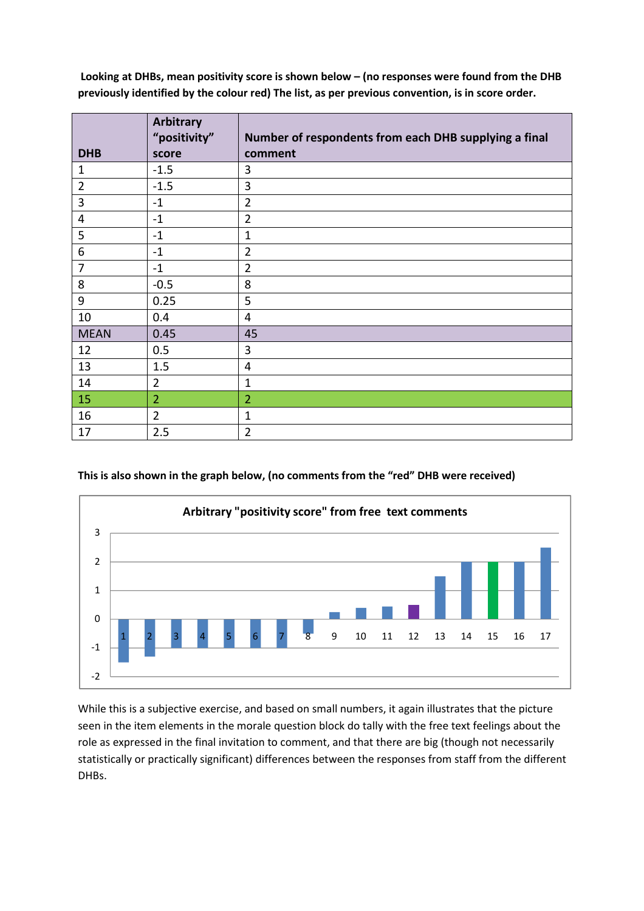Looking at DHBs, mean positivity score is shown below – (no responses were found from the DHB previously identified by the colour red) The list, as per previous convention, is in score order.

|                | Arbitrary<br>"positivity" | Number of respondents from each DHB supplying a final |
|----------------|---------------------------|-------------------------------------------------------|
| <b>DHB</b>     | score                     | comment                                               |
| $\mathbf{1}$   | $-1.5$                    | 3                                                     |
| $\overline{2}$ | $-1.5$                    | 3                                                     |
| 3              | $-1$                      | $\overline{2}$                                        |
| $\overline{4}$ | $-1$                      | $\overline{2}$                                        |
| 5              | $-1$                      | $\mathbf{1}$                                          |
| 6              | $-1$                      | $\overline{2}$                                        |
| $\overline{7}$ | $-1$                      | $\overline{2}$                                        |
| 8              | $-0.5$                    | 8                                                     |
| 9              | 0.25                      | 5                                                     |
| 10             | 0.4                       | 4                                                     |
| <b>MEAN</b>    | 0.45                      | 45                                                    |
| 12             | 0.5                       | 3                                                     |
| 13             | 1.5                       | $\overline{4}$                                        |
| 14             | $\overline{2}$            | $\mathbf{1}$                                          |
| 15             | $\overline{2}$            | $\overline{2}$                                        |
| 16             | $\overline{2}$            | $\mathbf{1}$                                          |
| 17             | 2.5                       | $\overline{2}$                                        |

This is also shown in the graph below, (no comments from the "red" DHB were received)



While this is a subjective exercise, and based on small numbers, it again illustrates that the picture seen in the item elements in the morale question block do tally with the free text feelings about the role as expressed in the final invitation to comment, and that there are big (though not necessarily statistically or practically significant) differences between the responses from staff from the different DHBs.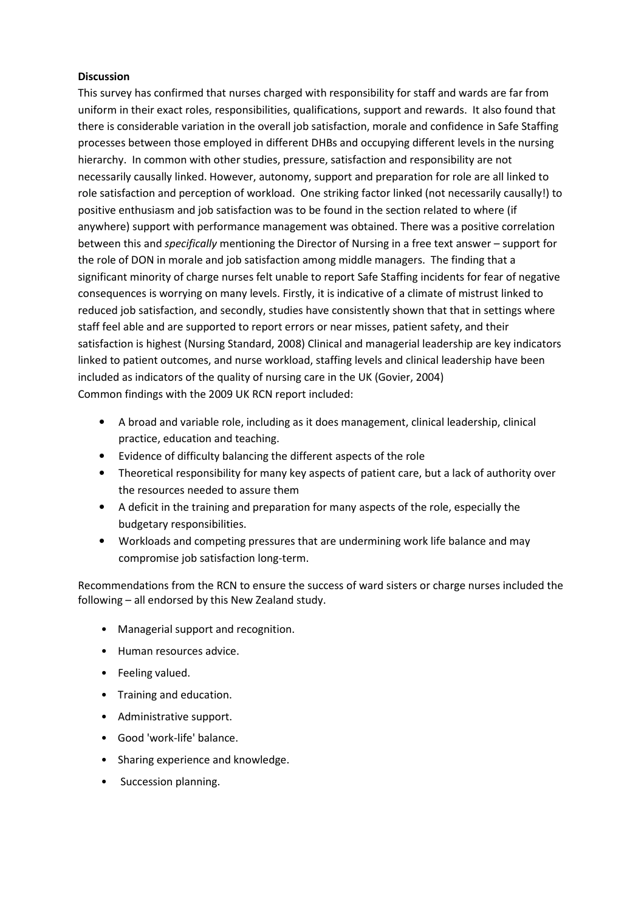#### **Discussion**

This survey has confirmed that nurses charged with responsibility for staff and wards are far from uniform in their exact roles, responsibilities, qualifications, support and rewards. It also found that there is considerable variation in the overall job satisfaction, morale and confidence in Safe Staffing processes between those employed in different DHBs and occupying different levels in the nursing hierarchy. In common with other studies, pressure, satisfaction and responsibility are not necessarily causally linked. However, autonomy, support and preparation for role are all linked to role satisfaction and perception of workload. One striking factor linked (not necessarily causally!) to positive enthusiasm and job satisfaction was to be found in the section related to where (if anywhere) support with performance management was obtained. There was a positive correlation between this and specifically mentioning the Director of Nursing in a free text answer – support for the role of DON in morale and job satisfaction among middle managers. The finding that a significant minority of charge nurses felt unable to report Safe Staffing incidents for fear of negative consequences is worrying on many levels. Firstly, it is indicative of a climate of mistrust linked to reduced job satisfaction, and secondly, studies have consistently shown that that in settings where staff feel able and are supported to report errors or near misses, patient safety, and their satisfaction is highest (Nursing Standard, 2008) Clinical and managerial leadership are key indicators linked to patient outcomes, and nurse workload, staffing levels and clinical leadership have been included as indicators of the quality of nursing care in the UK (Govier, 2004) Common findings with the 2009 UK RCN report included:

- A broad and variable role, including as it does management, clinical leadership, clinical practice, education and teaching.
- Evidence of difficulty balancing the different aspects of the role
- Theoretical responsibility for many key aspects of patient care, but a lack of authority over the resources needed to assure them
- A deficit in the training and preparation for many aspects of the role, especially the budgetary responsibilities.
- Workloads and competing pressures that are undermining work life balance and may compromise job satisfaction long-term.

Recommendations from the RCN to ensure the success of ward sisters or charge nurses included the following – all endorsed by this New Zealand study.

- Managerial support and recognition.
- Human resources advice.
- Feeling valued.
- Training and education.
- Administrative support.
- Good 'work-life' balance.
- Sharing experience and knowledge.
- Succession planning.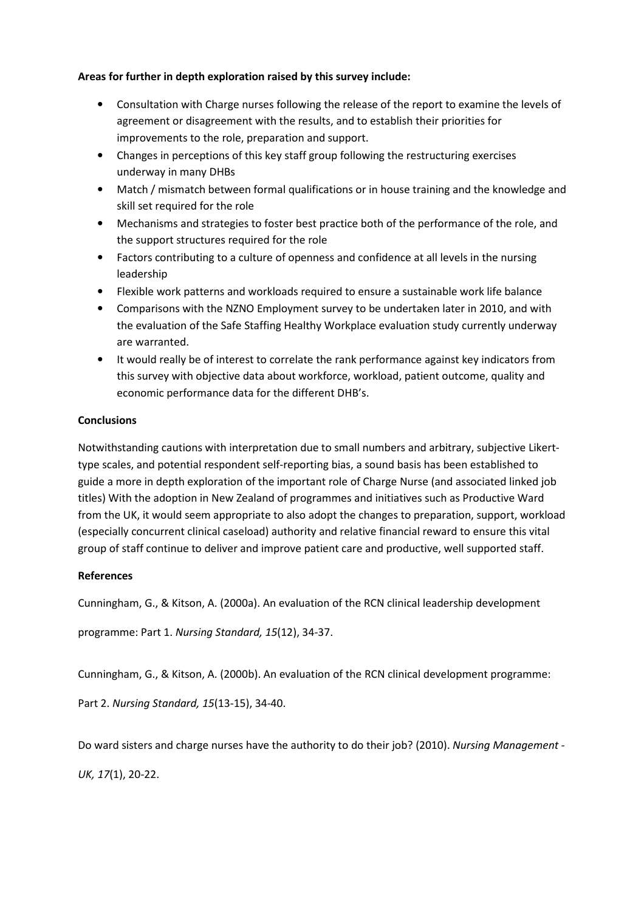### Areas for further in depth exploration raised by this survey include:

- Consultation with Charge nurses following the release of the report to examine the levels of agreement or disagreement with the results, and to establish their priorities for improvements to the role, preparation and support.
- Changes in perceptions of this key staff group following the restructuring exercises underway in many DHBs
- Match / mismatch between formal qualifications or in house training and the knowledge and skill set required for the role
- Mechanisms and strategies to foster best practice both of the performance of the role, and the support structures required for the role
- Factors contributing to a culture of openness and confidence at all levels in the nursing leadership
- Flexible work patterns and workloads required to ensure a sustainable work life balance
- Comparisons with the NZNO Employment survey to be undertaken later in 2010, and with the evaluation of the Safe Staffing Healthy Workplace evaluation study currently underway are warranted.
- It would really be of interest to correlate the rank performance against key indicators from this survey with objective data about workforce, workload, patient outcome, quality and economic performance data for the different DHB's.

# **Conclusions**

Notwithstanding cautions with interpretation due to small numbers and arbitrary, subjective Likerttype scales, and potential respondent self-reporting bias, a sound basis has been established to guide a more in depth exploration of the important role of Charge Nurse (and associated linked job titles) With the adoption in New Zealand of programmes and initiatives such as Productive Ward from the UK, it would seem appropriate to also adopt the changes to preparation, support, workload (especially concurrent clinical caseload) authority and relative financial reward to ensure this vital group of staff continue to deliver and improve patient care and productive, well supported staff.

# References

Cunningham, G., & Kitson, A. (2000a). An evaluation of the RCN clinical leadership development

programme: Part 1. Nursing Standard, 15(12), 34-37.

Cunningham, G., & Kitson, A. (2000b). An evaluation of the RCN clinical development programme:

Part 2. Nursing Standard, 15(13-15), 34-40.

Do ward sisters and charge nurses have the authority to do their job? (2010). Nursing Management -

UK, 17(1), 20-22.